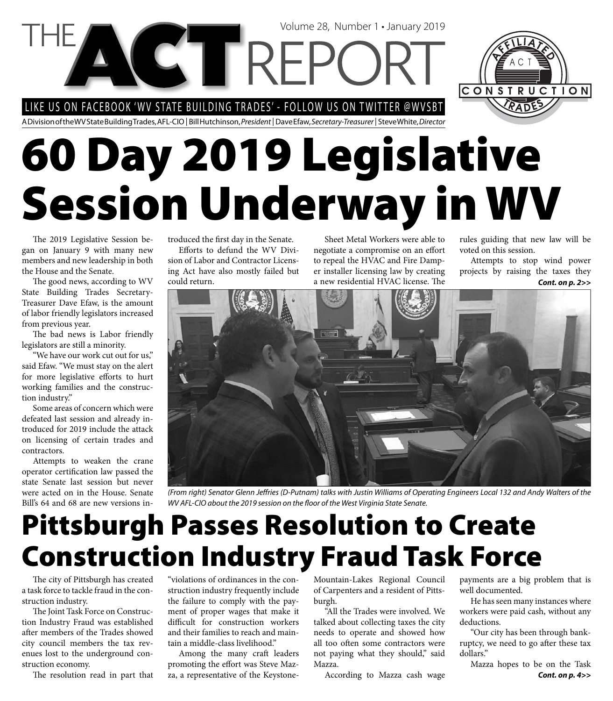LIKE US ON FACEBOOK 'WV STATE BUILDING TRADES' - FOLLOW US ON TWITTER @WVSBT

**VGTREPC** 

A Division of the WV State Building Trades, AFL-CIO | Bill Hutchinson, President | Dave Efaw, Secretary-Treasurer | Steve White, Director

# **60 Day 2019 Legislative Session Underway in WV**

The 2019 Legislative Session began on January 9 with many new members and new leadership in both the House and the Senate.

The good news, according to WV State Building Trades Secretary-Treasurer Dave Efaw, is the amount of labor friendly legislators increased from previous year.

The bad news is Labor friendly legislators are still a minority.

"We have our work cut out for us," said Efaw. "We must stay on the alert for more legislative efforts to hurt working families and the construction industry."

Some areas of concern which were defeated last session and already introduced for 2019 include the attack on licensing of certain trades and contractors.

Attempts to weaken the crane operator certification law passed the state Senate last session but never were acted on in the House. Senate Bill's 64 and 68 are new versions introduced the first day in the Senate.

Efforts to defund the WV Division of Labor and Contractor Licensing Act have also mostly failed but could return.

Sheet Metal Workers were able to negotiate a compromise on an effort to repeal the HVAC and Fire Damper installer licensing law by creating a new residential HVAC license. The

Volume 28, Number 1 • January 2019

rules guiding that new law will be voted on this session.

Attempts to stop wind power projects by raising the taxes they *Cont. on p. 2>>*



(From right) Senator Glenn Jeffries (D-Putnam) talks with Justin Williams of Operating Engineers Local 132 and Andy Walters of the WV AFL-CIO about the 2019 session on the floor of the West Virginia State Senate.

# **Pittsburgh Passes Resolution to Create Construction Industry Fraud Task Force**

The city of Pittsburgh has created a task force to tackle fraud in the construction industry.

The Joint Task Force on Construction Industry Fraud was established after members of the Trades showed city council members the tax revenues lost to the underground construction economy.

The resolution read in part that

"violations of ordinances in the construction industry frequently include the failure to comply with the payment of proper wages that make it difficult for construction workers and their families to reach and maintain a middle-class livelihood."

Among the many craft leaders promoting the effort was Steve Mazza, a representative of the KeystoneMountain-Lakes Regional Council of Carpenters and a resident of Pittsburgh.

"All the Trades were involved. We talked about collecting taxes the city needs to operate and showed how all too often some contractors were not paying what they should," said Mazza.

According to Mazza cash wage

payments are a big problem that is well documented.

He has seen many instances where workers were paid cash, without any deductions.

"Our city has been through bankruptcy, we need to go after these tax dollars."

Mazza hopes to be on the Task *Cont. on p. 4>>*

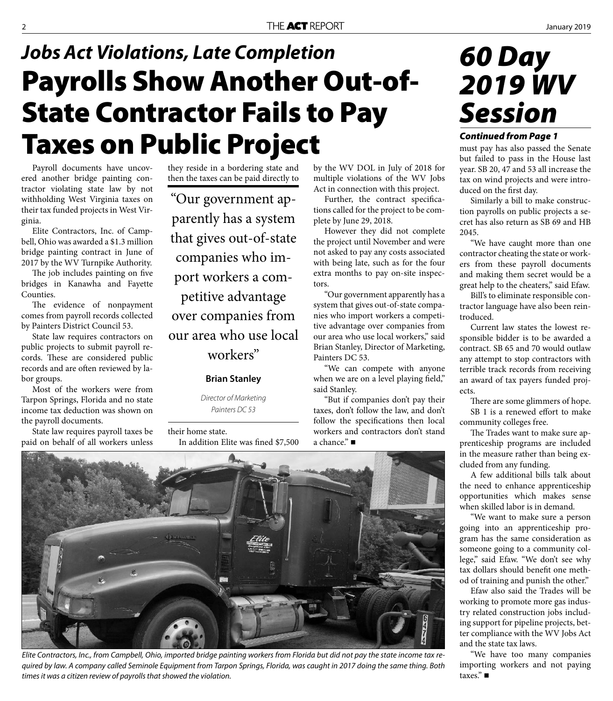## **Payrolls Show Another Out-of-State Contractor Fails to Pay Taxes on Public Project** *Jobs Act Violations, Late Completion*

Payroll documents have uncovered another bridge painting contractor violating state law by not withholding West Virginia taxes on their tax funded projects in West Virginia.

Elite Contractors, Inc. of Campbell, Ohio was awarded a \$1.3 million bridge painting contract in June of 2017 by the WV Turnpike Authority.

The job includes painting on five bridges in Kanawha and Fayette Counties.

The evidence of nonpayment comes from payroll records collected by Painters District Council 53.

State law requires contractors on public projects to submit payroll records. These are considered public records and are often reviewed by labor groups.

Most of the workers were from Tarpon Springs, Florida and no state income tax deduction was shown on the payroll documents.

State law requires payroll taxes be paid on behalf of all workers unless they reside in a bordering state and then the taxes can be paid directly to

"Our government apparently has a system that gives out-of-state companies who import workers a competitive advantage over companies from our area who use local workers"

### **Brian Stanley**

Director of Marketing Painters DC 53

their home state.

In addition Elite was fined \$7,500

by the WV DOL in July of 2018 for multiple violations of the WV Jobs Act in connection with this project.

Further, the contract specifications called for the project to be complete by June 29, 2018.

However they did not complete the project until November and were not asked to pay any costs associated with being late, such as for the four extra months to pay on-site inspectors.

"Our government apparently has a system that gives out-of-state companies who import workers a competitive advantage over companies from our area who use local workers," said Brian Stanley, Director of Marketing, Painters DC 53.

"We can compete with anyone when we are on a level playing field," said Stanley.

"But if companies don't pay their taxes, don't follow the law, and don't follow the specifications then local workers and contractors don't stand a chance." ■



#### *Continued from Page 1*

must pay has also passed the Senate but failed to pass in the House last year. SB 20, 47 and 53 all increase the tax on wind projects and were introduced on the first day.

Similarly a bill to make construction payrolls on public projects a secret has also return as SB 69 and HB 2045.

"We have caught more than one contractor cheating the state or workers from these payroll documents and making them secret would be a great help to the cheaters," said Efaw.

Bill's to eliminate responsible contractor language have also been reintroduced.

Current law states the lowest responsible bidder is to be awarded a contract. SB 65 and 70 would outlaw any attempt to stop contractors with terrible track records from receiving an award of tax payers funded projects.

There are some glimmers of hope. SB 1 is a renewed effort to make community colleges free.

The Trades want to make sure apprenticeship programs are included in the measure rather than being excluded from any funding.

A few additional bills talk about the need to enhance apprenticeship opportunities which makes sense when skilled labor is in demand.

"We want to make sure a person going into an apprenticeship program has the same consideration as someone going to a community college," said Efaw. "We don't see why tax dollars should benefit one method of training and punish the other."

Efaw also said the Trades will be working to promote more gas industry related construction jobs including support for pipeline projects, better compliance with the WV Jobs Act and the state tax laws.

"We have too many companies importing workers and not paying taxes."



Elite Contractors, Inc., from Campbell, Ohio, imported bridge painting workers from Florida but did not pay the state income tax required by law. A company called Seminole Equipment from Tarpon Springs, Florida, was caught in 2017 doing the same thing. Both times it was a citizen review of payrolls that showed the violation.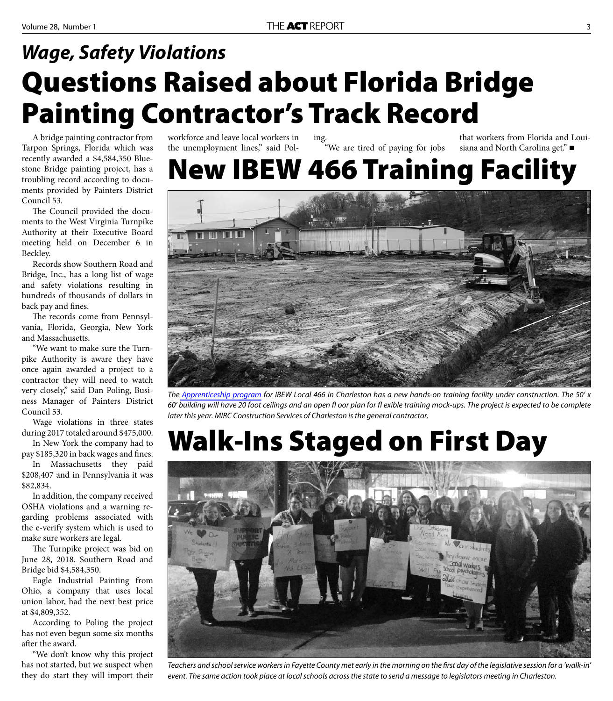### **Questions Raised about Florida Bridge Painting Contractor's Track Record** *Wage, Safety Violations*

A bridge painting contractor from Tarpon Springs, Florida which was recently awarded a \$4,584,350 Bluestone Bridge painting project, has a troubling record according to documents provided by Painters District Council 53.

The Council provided the documents to the West Virginia Turnpike Authority at their Executive Board meeting held on December 6 in Beckley.

Records show Southern Road and Bridge, Inc., has a long list of wage and safety violations resulting in hundreds of thousands of dollars in back pay and fines.

The records come from Pennsylvania, Florida, Georgia, New York and Massachusetts.

"We want to make sure the Turnpike Authority is aware they have once again awarded a project to a contractor they will need to watch very closely," said Dan Poling, Business Manager of Painters District Council 53.

Wage violations in three states during 2017 totaled around \$475,000.

In New York the company had to pay \$185,320 in back wages and fines.

In Massachusetts they paid \$208,407 and in Pennsylvania it was \$82,834.

In addition, the company received OSHA violations and a warning regarding problems associated with the e-verify system which is used to make sure workers are legal.

The Turnpike project was bid on June 28, 2018. Southern Road and Bridge bid \$4,584,350.

Eagle Industrial Painting from Ohio, a company that uses local union labor, had the next best price at \$4,809,352.

According to Poling the project has not even begun some six months after the award.

"We don't know why this project has not started, but we suspect when they do start they will import their

workforce and leave local workers in the unemployment lines," said Poling. "We are tired of paying for jobs

that workers from Florida and Louisiana and North Carolina get." ■

### **New IBEW 466 Training Facility**



The [Apprenticeship program](http://www.ibew466.org/index.cfm?zone=/unionactive/view_page.cfm&page=Apprenticeship) for IBEW Local 466 in Charleston has a new hands-on training facility under construction. The 50' x 60' building will have 20 foot ceilings and an open fl oor plan for fl exible training mock-ups. The project is expected to be complete later this year. MIRC Construction Services of Charleston is the general contractor.

# **Walk-Ins Staged on First Day**



Teachers and school service workers in Fayette County met early in the morning on the first day of the legislative session for a 'walk-in' event. The same action took place at local schools across the state to send a message to legislators meeting in Charleston.